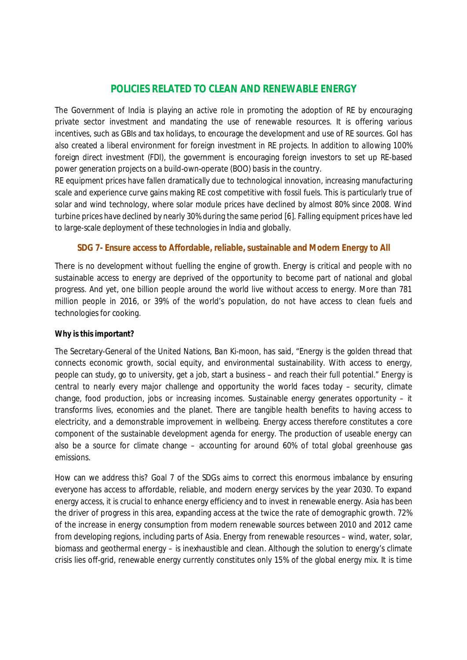## **POLICIES RELATED TO CLEAN AND RENEWABLE ENERGY**

The Government of India is playing an active role in promoting the adoption of RE by encouraging private sector investment and mandating the use of renewable resources. It is offering various incentives, such as GBIs and tax holidays, to encourage the development and use of RE sources. GoI has also created a liberal environment for foreign investment in RE projects. In addition to allowing 100% foreign direct investment (FDI), the government is encouraging foreign investors to set up RE-based power generation projects on a build-own-operate (BOO) basis in the country.

RE equipment prices have fallen dramatically due to technological innovation, increasing manufacturing scale and experience curve gains making RE cost competitive with fossil fuels. This is particularly true of solar and wind technology, where solar module prices have declined by almost 80% since 2008. Wind turbine prices have declined by nearly 30% during the same period [6]. Falling equipment prices have led to large-scale deployment of these technologies in India and globally.

#### **SDG 7- Ensure access to Affordable, reliable, sustainable and Modern Energy to All**

There is no development without fuelling the engine of growth. Energy is critical and people with no sustainable access to energy are deprived of the opportunity to become part of national and global progress. And yet, one billion people around the world live without access to energy. More than 781 million people in 2016, or 39% of the world's population, do not have access to clean fuels and technologies for cooking.

#### **Why is this important?**

The Secretary-General of the United Nations, Ban Ki-moon, has said, "Energy is the golden thread that connects economic growth, social equity, and environmental sustainability. With access to energy, people can study, go to university, get a job, start a business – and reach their full potential." Energy is central to nearly every major challenge and opportunity the world faces today – security, climate change, food production, jobs or increasing incomes. Sustainable energy generates opportunity – it transforms lives, economies and the planet. There are tangible health benefits to having access to electricity, and a demonstrable improvement in wellbeing. Energy access therefore constitutes a core component of the sustainable development agenda for energy. The production of useable energy can also be a source for climate change – accounting for around 60% of total global greenhouse gas emissions.

How can we address this? Goal 7 of the SDGs aims to correct this enormous imbalance by ensuring everyone has access to affordable, reliable, and modern energy services by the year 2030. To expand energy access, it is crucial to enhance energy efficiency and to invest in renewable energy. Asia has been the driver of progress in this area, expanding access at the twice the rate of demographic growth. 72% of the increase in energy consumption from modern renewable sources between 2010 and 2012 came from developing regions, including parts of Asia. Energy from renewable resources – wind, water, solar, biomass and geothermal energy – is inexhaustible and clean. Although the solution to energy's climate crisis lies off-grid, renewable energy currently constitutes only 15% of the global energy mix. It is time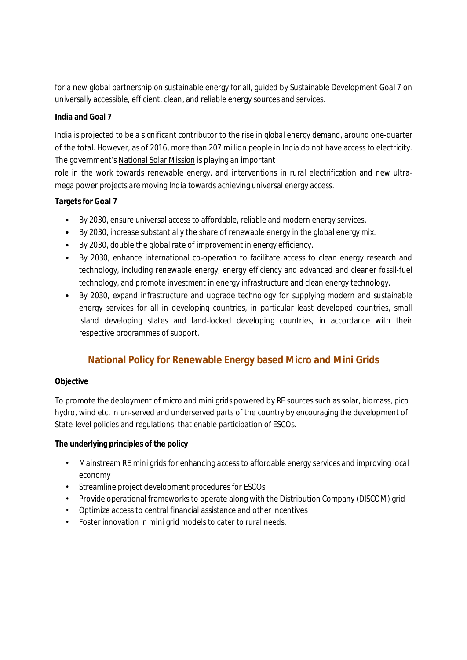for a new global partnership on sustainable energy for all, guided by Sustainable Development Goal 7 on universally accessible, efficient, clean, and reliable energy sources and services.

#### **India and Goal 7**

India is projected to be a significant contributor to the rise in global energy demand, around one-quarter of the total. However, as of 2016, more than 207 million people in India do not have access to electricity. The government's National Solar Mission is playing an important

role in the work towards renewable energy, and interventions in rural electrification and new ultramega power projects are moving India towards achieving universal energy access.

#### **Targets for Goal 7**

- By 2030, ensure universal access to affordable, reliable and modern energy services.
- By 2030, increase substantially the share of renewable energy in the global energy mix.
- By 2030, double the global rate of improvement in energy efficiency.
- By 2030, enhance international co-operation to facilitate access to clean energy research and technology, including renewable energy, energy efficiency and advanced and cleaner fossil-fuel technology, and promote investment in energy infrastructure and clean energy technology.
- By 2030, expand infrastructure and upgrade technology for supplying modern and sustainable energy services for all in developing countries, in particular least developed countries, small island developing states and land-locked developing countries, in accordance with their respective programmes of support.

# **National Policy for Renewable Energy based Micro and Mini Grids**

#### **Objective**

To promote the deployment of micro and mini grids powered by RE sources such as solar, biomass, pico hydro, wind etc. in un-served and underserved parts of the country by encouraging the development of State-level policies and regulations, that enable participation of ESCOs.

#### **The underlying principles of the policy**

- Mainstream RE mini grids for enhancing access to affordable energy services and improving local economy
- Streamline project development procedures for ESCOs
- Provide operational frameworks to operate along with the Distribution Company (DISCOM) grid
- Optimize access to central financial assistance and other incentives
- Foster innovation in mini grid models to cater to rural needs.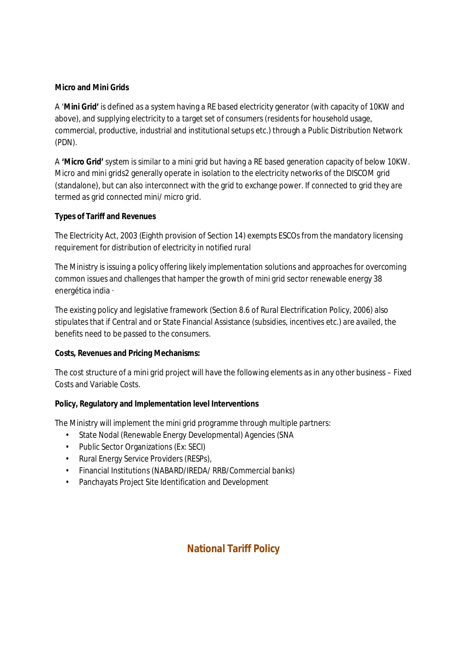#### **Micro and Mini Grids**

A '**Mini Grid'** is defined as a system having a RE based electricity generator (with capacity of 10KW and above), and supplying electricity to a target set of consumers (residents for household usage, commercial, productive, industrial and institutional setups etc.) through a Public Distribution Network (PDN).

A **'Micro Grid'** system is similar to a mini grid but having a RE based generation capacity of below 10KW. Micro and mini grids2 generally operate in isolation to the electricity networks of the DISCOM grid (standalone), but can also interconnect with the grid to exchange power. If connected to grid they are termed as grid connected mini/ micro grid.

#### **Types of Tariff and Revenues**

The Electricity Act, 2003 (Eighth provision of Section 14) exempts ESCOs from the mandatory licensing requirement for distribution of electricity in notified rural

The Ministry is issuing a policy offering likely implementation solutions and approaches for overcoming common issues and challenges that hamper the growth of mini grid sector renewable energy 38 energética india ·

The existing policy and legislative framework (Section 8.6 of Rural Electrification Policy, 2006) also stipulates that if Central and or State Financial Assistance (subsidies, incentives etc.) are availed, the benefits need to be passed to the consumers.

#### **Costs, Revenues and Pricing Mechanisms:**

The cost structure of a mini grid project will have the following elements as in any other business – Fixed Costs and Variable Costs.

#### **Policy, Regulatory and Implementation level Interventions**

The Ministry will implement the mini grid programme through multiple partners:

- State Nodal (Renewable Energy Developmental) Agencies (SNA
- Public Sector Organizations (Ex: SECI)
- Rural Energy Service Providers (RESPs),
- Financial Institutions (NABARD/IREDA/ RRB/Commercial banks)
- Panchayats Project Site Identification and Development

# **National Tariff Policy**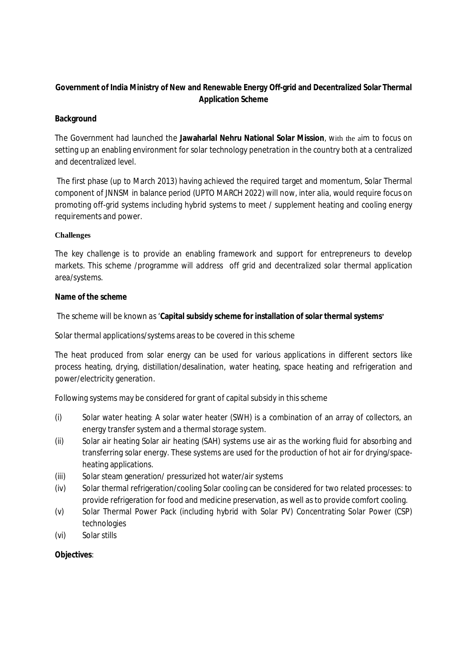## **Government of India Ministry of New and Renewable Energy Off-grid and Decentralized Solar Thermal Application Scheme**

#### **Background**

The Government had launched the **Jawaharlal Nehru National Solar Mission**, with the aim to focus on setting up an enabling environment for solar technology penetration in the country both at a centralized and decentralized level.

The first phase (up to March 2013) having achieved the required target and momentum, Solar Thermal component of JNNSM in balance period (UPTO MARCH 2022) will now, inter alia, would require focus on promoting off-grid systems including hybrid systems to meet / supplement heating and cooling energy requirements and power.

#### **Challenges**

The key challenge is to provide an enabling framework and support for entrepreneurs to develop markets. This scheme /programme will address off grid and decentralized solar thermal application area/systems.

#### **Name of the scheme**

The scheme will be known as '**Capital subsidy scheme for installation of solar thermal systems'**

Solar thermal applications/systems areas to be covered in this scheme

The heat produced from solar energy can be used for various applications in different sectors like process heating, drying, distillation/desalination, water heating, space heating and refrigeration and power/electricity generation.

Following systems may be considered for grant of capital subsidy in this scheme

- (i) Solar water heating: A solar water heater (SWH) is a combination of an array of collectors, an energy transfer system and a thermal storage system.
- (ii) Solar air heating Solar air heating (SAH) systems use air as the working fluid for absorbing and transferring solar energy. These systems are used for the production of hot air for drying/spaceheating applications.
- (iii) Solar steam generation/ pressurized hot water/air systems
- (iv) Solar thermal refrigeration/cooling Solar cooling can be considered for two related processes: to provide refrigeration for food and medicine preservation, as well as to provide comfort cooling.
- (v) Solar Thermal Power Pack (including hybrid with Solar PV) Concentrating Solar Power (CSP) technologies
- (vi) Solar stills

#### **Objectives**: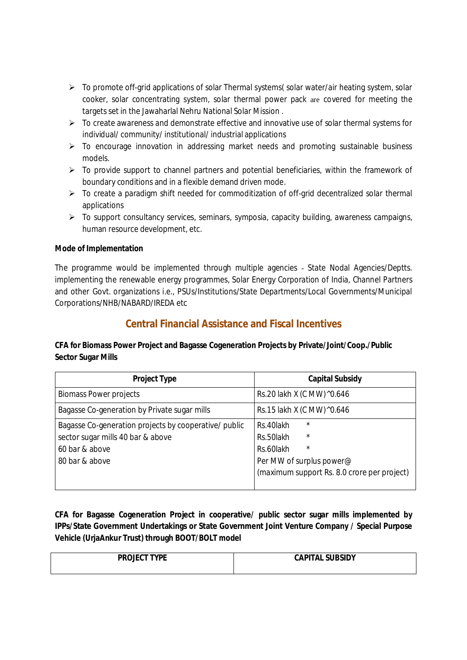- $\triangleright$  To promote off-grid applications of solar Thermal systems (solar water/air heating system, solar cooker, solar concentrating system, solar thermal power pack are covered for meeting the targets set in the Jawaharlal Nehru National Solar Mission .
- $\triangleright$  To create awareness and demonstrate effective and innovative use of solar thermal systems for individual/ community/ institutional/ industrial applications
- $\triangleright$  To encourage innovation in addressing market needs and promoting sustainable business models.
- $\triangleright$  To provide support to channel partners and potential beneficiaries, within the framework of boundary conditions and in a flexible demand driven mode.
- $\triangleright$  To create a paradigm shift needed for commoditization of off-grid decentralized solar thermal applications
- $\triangleright$  To support consultancy services, seminars, symposia, capacity building, awareness campaigns, human resource development, etc.

#### **Mode of Implementation**

The programme would be implemented through multiple agencies - State Nodal Agencies/Deptts. implementing the renewable energy programmes, Solar Energy Corporation of India, Channel Partners and other Govt. organizations i.e., PSUs/Institutions/State Departments/Local Governments/Municipal Corporations/NHB/NABARD/IREDA etc

# **Central Financial Assistance and Fiscal Incentives**

#### **CFA for Biomass Power Project and Bagasse Cogeneration Projects by Private/Joint/Coop./Public Sector Sugar Mills**

| <b>Project Type</b>                                   | <b>Capital Subsidy</b>                      |
|-------------------------------------------------------|---------------------------------------------|
| <b>Biomass Power projects</b>                         | Rs.20 lakh X (C MW) ^0.646                  |
| Bagasse Co-generation by Private sugar mills          | Rs.15 lakh X (C MW) ^0.646                  |
| Bagasse Co-generation projects by cooperative/ public | $\star$<br>Rs.40lakh                        |
| sector sugar mills 40 bar & above                     | $\star$<br>Rs.50lakh                        |
| 60 bar & above                                        | $\star$<br>Rs.60lakh                        |
| 80 bar & above                                        | Per MW of surplus power@                    |
|                                                       | (maximum support Rs. 8.0 crore per project) |

**CFA for Bagasse Cogeneration Project in cooperative/ public sector sugar mills implemented by IPPs/State Government Undertakings or State Government Joint Venture Company / Special Purpose Vehicle (UrjaAnkur Trust) through BOOT/BOLT model**

| <b>CAPITAL SUBSIDY</b> |
|------------------------|
|                        |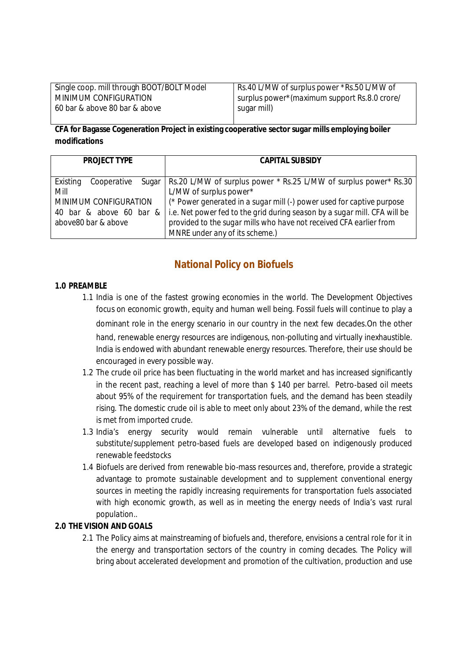| Single coop. mill through BOOT/BOLT Model | Rs.40 L/MW of surplus power *Rs.50 L/MW of   |
|-------------------------------------------|----------------------------------------------|
| MINIMUM CONFIGURATION                     | surplus power*(maximum support Rs.8.0 crore/ |
| 60 bar & above 80 bar & above             | sugar mill)                                  |

#### **CFA for Bagasse Cogeneration Project in existing cooperative sector sugar mills employing boiler modifications**

| <b>PROJECT TYPE</b>              | <b>CAPITAL SUBSIDY</b>                                                    |
|----------------------------------|---------------------------------------------------------------------------|
|                                  |                                                                           |
| Existing<br>Cooperative<br>Sugar | Rs.20 L/MW of surplus power * Rs.25 L/MW of surplus power * Rs.30         |
| Mill                             | L/MW of surplus power*                                                    |
| MINIMUM CONFIGURATION            | (* Power generated in a sugar mill (-) power used for captive purpose     |
| 40 bar & above 60 bar &          | i.e. Net power fed to the grid during season by a sugar mill. CFA will be |
| above80 bar & above              | provided to the sugar mills who have not received CFA earlier from        |
|                                  | MNRE under any of its scheme.)                                            |

# **National Policy on Biofuels**

#### **1.0 PREAMBLE**

- 1.1 India is one of the fastest growing economies in the world. The Development Objectives focus on economic growth, equity and human well being. Fossil fuels will continue to play a dominant role in the energy scenario in our country in the next few decades.On the other hand, renewable energy resources are indigenous, non-polluting and virtually inexhaustible. India is endowed with abundant renewable energy resources. Therefore, their use should be encouraged in every possible way.
- 1.2 The crude oil price has been fluctuating in the world market and has increased significantly in the recent past, reaching a level of more than \$ 140 per barrel. Petro-based oil meets about 95% of the requirement for transportation fuels, and the demand has been steadily rising. The domestic crude oil is able to meet only about 23% of the demand, while the rest is met from imported crude.
- 1.3 India's energy security would remain vulnerable until alternative fuels to substitute/supplement petro-based fuels are developed based on indigenously produced renewable feedstocks
- 1.4 Biofuels are derived from renewable bio-mass resources and, therefore, provide a strategic advantage to promote sustainable development and to supplement conventional energy sources in meeting the rapidly increasing requirements for transportation fuels associated with high economic growth, as well as in meeting the energy needs of India's vast rural population..

#### **2.0 THE VISION AND GOALS**

2.1 The Policy aims at mainstreaming of biofuels and, therefore, envisions a central role for it in the energy and transportation sectors of the country in coming decades. The Policy will bring about accelerated development and promotion of the cultivation, production and use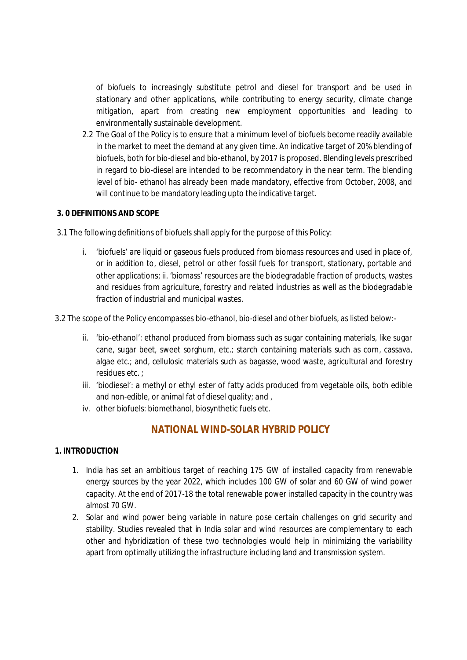of biofuels to increasingly substitute petrol and diesel for transport and be used in stationary and other applications, while contributing to energy security, climate change mitigation, apart from creating new employment opportunities and leading to environmentally sustainable development.

2.2 The Goal of the Policy is to ensure that a minimum level of biofuels become readily available in the market to meet the demand at any given time. An indicative target of 20% blending of biofuels, both for bio-diesel and bio-ethanol, by 2017 is proposed. Blending levels prescribed in regard to bio-diesel are intended to be recommendatory in the near term. The blending level of bio- ethanol has already been made mandatory, effective from October, 2008, and will continue to be mandatory leading upto the indicative target.

#### **3. 0 DEFINITIONS AND SCOPE**

- 3.1 The following definitions of biofuels shall apply for the purpose of this Policy:
	- i. 'biofuels' are liquid or gaseous fuels produced from biomass resources and used in place of, or in addition to, diesel, petrol or other fossil fuels for transport, stationary, portable and other applications; ii. 'biomass' resources are the biodegradable fraction of products, wastes and residues from agriculture, forestry and related industries as well as the biodegradable fraction of industrial and municipal wastes.
- 3.2 The scope of the Policy encompasses bio-ethanol, bio-diesel and other biofuels, as listed below:
	- ii. 'bio-ethanol': ethanol produced from biomass such as sugar containing materials, like sugar cane, sugar beet, sweet sorghum, etc.; starch containing materials such as corn, cassava, algae etc.; and, cellulosic materials such as bagasse, wood waste, agricultural and forestry residues etc. ;
	- iii. 'biodiesel': a methyl or ethyl ester of fatty acids produced from vegetable oils, both edible and non-edible, or animal fat of diesel quality; and ,
	- iv. other biofuels: biomethanol, biosynthetic fuels etc.

# **NATIONAL WIND-SOLAR HYBRID POLICY**

#### **1. INTRODUCTION**

- 1. India has set an ambitious target of reaching 175 GW of installed capacity from renewable energy sources by the year 2022, which includes 100 GW of solar and 60 GW of wind power capacity. At the end of 2017-18 the total renewable power installed capacity in the country was almost 70 GW.
- 2. Solar and wind power being variable in nature pose certain challenges on grid security and stability. Studies revealed that in India solar and wind resources are complementary to each other and hybridization of these two technologies would help in minimizing the variability apart from optimally utilizing the infrastructure including land and transmission system.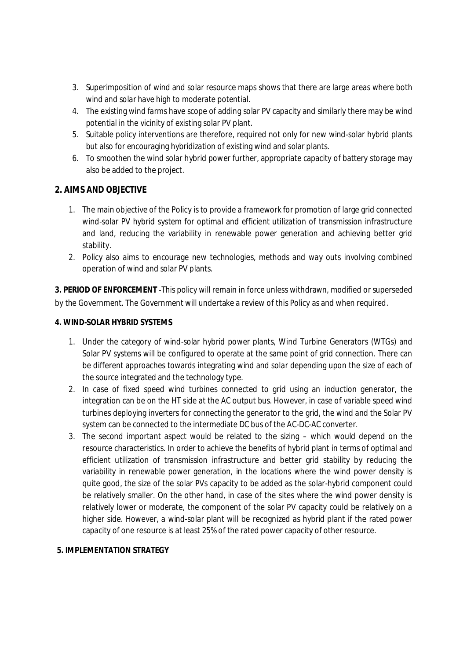- 3. Superimposition of wind and solar resource maps shows that there are large areas where both wind and solar have high to moderate potential.
- 4. The existing wind farms have scope of adding solar PV capacity and similarly there may be wind potential in the vicinity of existing solar PV plant.
- 5. Suitable policy interventions are therefore, required not only for new wind-solar hybrid plants but also for encouraging hybridization of existing wind and solar plants.
- 6. To smoothen the wind solar hybrid power further, appropriate capacity of battery storage may also be added to the project.

#### **2. AIMS AND OBJECTIVE**

- 1. The main objective of the Policy is to provide a framework for promotion of large grid connected wind-solar PV hybrid system for optimal and efficient utilization of transmission infrastructure and land, reducing the variability in renewable power generation and achieving better grid stability.
- 2. Policy also aims to encourage new technologies, methods and way outs involving combined operation of wind and solar PV plants.

**3. PERIOD OF ENFORCEMENT** -This policy will remain in force unless withdrawn, modified or superseded by the Government. The Government will undertake a review of this Policy as and when required.

#### **4. WIND-SOLAR HYBRID SYSTEMS**

- 1. Under the category of wind-solar hybrid power plants, Wind Turbine Generators (WTGs) and Solar PV systems will be configured to operate at the same point of grid connection. There can be different approaches towards integrating wind and solar depending upon the size of each of the source integrated and the technology type.
- 2. In case of fixed speed wind turbines connected to grid using an induction generator, the integration can be on the HT side at the AC output bus. However, in case of variable speed wind turbines deploying inverters for connecting the generator to the grid, the wind and the Solar PV system can be connected to the intermediate DC bus of the AC-DC-AC converter.
- 3. The second important aspect would be related to the sizing which would depend on the resource characteristics. In order to achieve the benefits of hybrid plant in terms of optimal and efficient utilization of transmission infrastructure and better grid stability by reducing the variability in renewable power generation, in the locations where the wind power density is quite good, the size of the solar PVs capacity to be added as the solar-hybrid component could be relatively smaller. On the other hand, in case of the sites where the wind power density is relatively lower or moderate, the component of the solar PV capacity could be relatively on a higher side. However, a wind-solar plant will be recognized as hybrid plant if the rated power capacity of one resource is at least 25% of the rated power capacity of other resource.

#### **5. IMPLEMENTATION STRATEGY**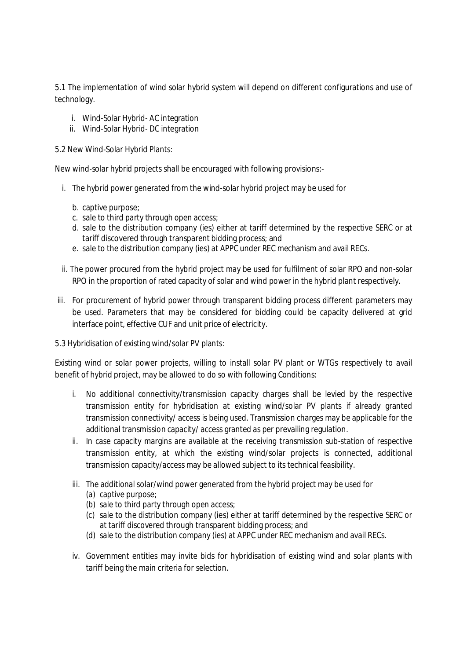5.1 The implementation of wind solar hybrid system will depend on different configurations and use of technology.

- i. Wind-Solar Hybrid- AC integration
- ii. Wind-Solar Hybrid- DC integration

5.2 New Wind-Solar Hybrid Plants:

New wind-solar hybrid projects shall be encouraged with following provisions:-

- i. The hybrid power generated from the wind-solar hybrid project may be used for
	- b. captive purpose;
	- c. sale to third party through open access;
	- d. sale to the distribution company (ies) either at tariff determined by the respective SERC or at tariff discovered through transparent bidding process; and
	- e. sale to the distribution company (ies) at APPC under REC mechanism and avail RECs.
- ii. The power procured from the hybrid project may be used for fulfilment of solar RPO and non-solar RPO in the proportion of rated capacity of solar and wind power in the hybrid plant respectively.
- iii. For procurement of hybrid power through transparent bidding process different parameters may be used. Parameters that may be considered for bidding could be capacity delivered at grid interface point, effective CUF and unit price of electricity.
- 5.3 Hybridisation of existing wind/solar PV plants:

Existing wind or solar power projects, willing to install solar PV plant or WTGs respectively to avail benefit of hybrid project, may be allowed to do so with following Conditions:

- i. No additional connectivity/transmission capacity charges shall be levied by the respective transmission entity for hybridisation at existing wind/solar PV plants if already granted transmission connectivity/ access is being used. Transmission charges may be applicable for the additional transmission capacity/ access granted as per prevailing regulation.
- ii. In case capacity margins are available at the receiving transmission sub-station of respective transmission entity, at which the existing wind/solar projects is connected, additional transmission capacity/access may be allowed subject to its technical feasibility.
- iii. The additional solar/wind power generated from the hybrid project may be used for
	- (a) captive purpose;
	- (b) sale to third party through open access;
	- (c) sale to the distribution company (ies) either at tariff determined by the respective SERC or at tariff discovered through transparent bidding process; and
	- (d) sale to the distribution company (ies) at APPC under REC mechanism and avail RECs.
- iv. Government entities may invite bids for hybridisation of existing wind and solar plants with tariff being the main criteria for selection.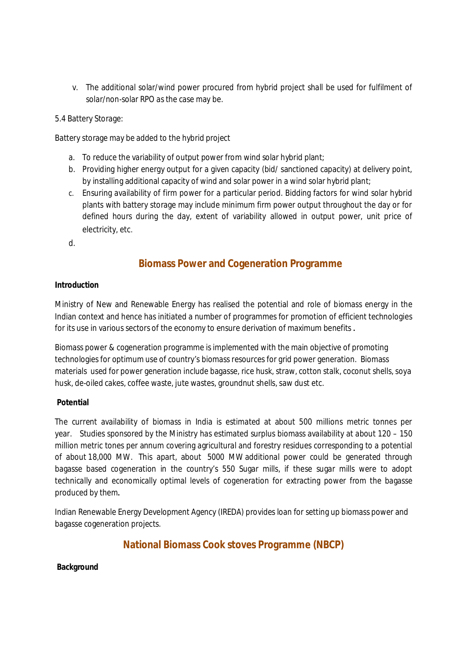v. The additional solar/wind power procured from hybrid project shall be used for fulfilment of solar/non-solar RPO as the case may be.

5.4 Battery Storage:

Battery storage may be added to the hybrid project

- a. To reduce the variability of output power from wind solar hybrid plant;
- b. Providing higher energy output for a given capacity (bid/ sanctioned capacity) at delivery point, by installing additional capacity of wind and solar power in a wind solar hybrid plant;
- c. Ensuring availability of firm power for a particular period. Bidding factors for wind solar hybrid plants with battery storage may include minimum firm power output throughout the day or for defined hours during the day, extent of variability allowed in output power, unit price of electricity, etc.
- d.

# **Biomass Power and Cogeneration Programme**

#### **Introduction**

Ministry of New and Renewable Energy has realised the potential and role of biomass energy in the Indian context and hence has initiated a number of programmes for promotion of efficient technologies for its use in various sectors of the economy to ensure derivation of maximum benefits **.**

Biomass power & cogeneration programme is implemented with the main objective of promoting technologies for optimum use of country's biomass resources for grid power generation. Biomass materials used for power generation include bagasse, rice husk, straw, cotton stalk, coconut shells, soya husk, de-oiled cakes, coffee waste, jute wastes, groundnut shells, saw dust etc.

#### **Potential**

The current availability of biomass in India is estimated at about 500 millions metric tonnes per year. Studies sponsored by the Ministry has estimated surplus biomass availability at about 120 – 150 million metric tones per annum covering agricultural and forestry residues corresponding to a potential of about 18,000 MW. This apart, about 5000 MW additional power could be generated through bagasse based cogeneration in the country's 550 Sugar mills, if these sugar mills were to adopt technically and economically optimal levels of cogeneration for extracting power from the bagasse produced by them**.**

Indian Renewable Energy Development Agency (IREDA) provides loan for setting up biomass power and bagasse cogeneration projects.

# **National Biomass Cook stoves Programme (NBCP)**

**Background**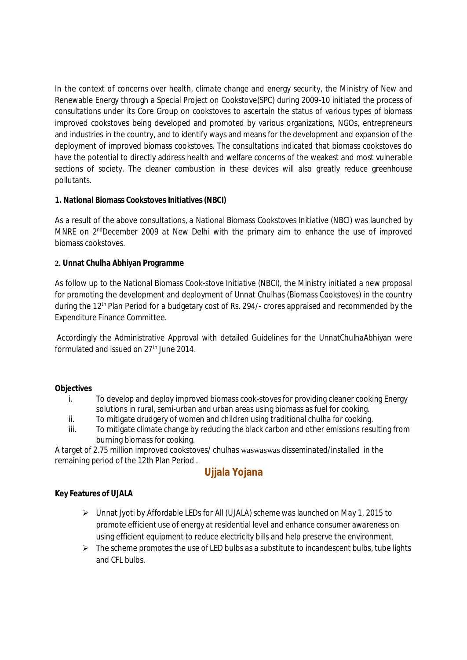In the context of concerns over health, climate change and energy security, the Ministry of New and Renewable Energy through a Special Project on Cookstove(SPC) during 2009-10 initiated the process of consultations under its Core Group on cookstoves to ascertain the status of various types of biomass improved cookstoves being developed and promoted by various organizations, NGOs, entrepreneurs and industries in the country, and to identify ways and means for the development and expansion of the deployment of improved biomass cookstoves. The consultations indicated that biomass cookstoves do have the potential to directly address health and welfare concerns of the weakest and most vulnerable sections of society. The cleaner combustion in these devices will also greatly reduce greenhouse pollutants.

#### **1. National Biomass Cookstoves Initiatives (NBCI)**

As a result of the above consultations, a National Biomass Cookstoves Initiative (NBCI) was launched by MNRE on 2<sup>nd</sup>December 2009 at New Delhi with the primary aim to enhance the use of improved biomass cookstoves.

#### **2. Unnat Chulha Abhiyan Programme**

As follow up to the National Biomass Cook-stove Initiative (NBCI), the Ministry initiated a new proposal for promoting the development and deployment of Unnat Chulhas (Biomass Cookstoves) in the country during the 12<sup>th</sup> Plan Period for a budgetary cost of Rs. 294/- crores appraised and recommended by the Expenditure Finance Committee.

Accordingly the Administrative Approval with detailed Guidelines for the UnnatChulhaAbhiyan were formulated and issued on 27<sup>th</sup> June 2014.

#### **Objectives**

- i. To develop and deploy improved biomass cook-stoves for providing cleaner cooking Energy solutions in rural, semi-urban and urban areas using biomass as fuel for cooking.
- ii. To mitigate drudgery of women and children using traditional chulha for cooking.
- iii. To mitigate climate change by reducing the black carbon and other emissions resulting from burning biomass for cooking.

A target of 2.75 million improved cookstoves/ chulhas waswaswas disseminated/installed in the remaining period of the 12th Plan Period .

# **Ujjala Yojana**

#### **Key Features of UJALA**

- $\triangleright$  Unnat Jyoti by Affordable LEDs for All (UJALA) scheme was launched on May 1, 2015 to promote efficient use of energy at residential level and enhance consumer awareness on using efficient equipment to reduce electricity bills and help preserve the environment.
- $\triangleright$  The scheme promotes the use of LED bulbs as a substitute to incandescent bulbs, tube lights and CFL bulbs.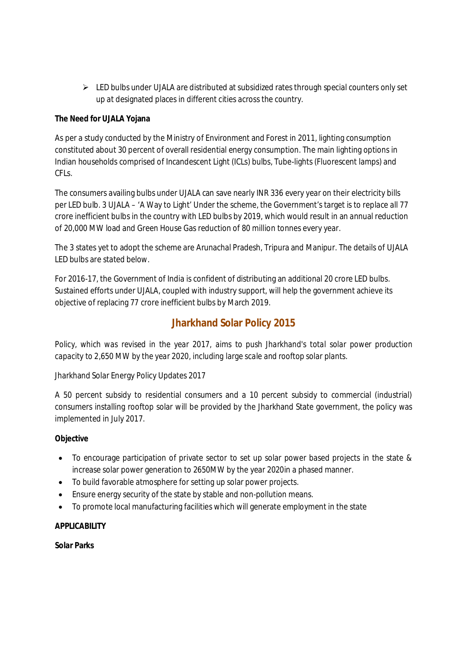$\triangleright$  LED bulbs under UJALA are distributed at subsidized rates through special counters only set up at designated places in different cities across the country.

#### **The Need for UJALA Yojana**

As per a study conducted by the Ministry of Environment and Forest in 2011, lighting consumption constituted about 30 percent of overall residential energy consumption. The main lighting options in Indian households comprised of Incandescent Light (ICLs) bulbs, Tube-lights (Fluorescent lamps) and CFLs.

The consumers availing bulbs under UJALA can save nearly INR 336 every year on their electricity bills per LED bulb. 3 UJALA – 'A Way to Light' Under the scheme, the Government's target is to replace all 77 crore inefficient bulbs in the country with LED bulbs by 2019, which would result in an annual reduction of 20,000 MW load and Green House Gas reduction of 80 million tonnes every year.

The 3 states yet to adopt the scheme are Arunachal Pradesh, Tripura and Manipur. The details of UJALA LED bulbs are stated below.

For 2016-17, the Government of India is confident of distributing an additional 20 crore LED bulbs. Sustained efforts under UJALA, coupled with industry support, will help the government achieve its objective of replacing 77 crore inefficient bulbs by March 2019.

# **Jharkhand Solar Policy 2015**

*Policy, which was revised in the year 2017, aims to push Jharkhand's total solar power production capacity to 2,650 MW by the year 2020, including large scale and rooftop solar plants.*

Jharkhand Solar Energy Policy Updates 2017

A 50 percent subsidy to residential consumers and a 10 percent subsidy to commercial (industrial) consumers installing rooftop solar will be provided by the Jharkhand State government, the policy was implemented in July 2017.

#### **Objective**

- To encourage participation of private sector to set up solar power based projects in the state & increase solar power generation to 2650MW by the year 2020in a phased manner.
- To build favorable atmosphere for setting up solar power projects.
- Ensure energy security of the state by stable and non-pollution means.
- To promote local manufacturing facilities which will generate employment in the state

#### **APPLICABILITY**

**Solar Parks**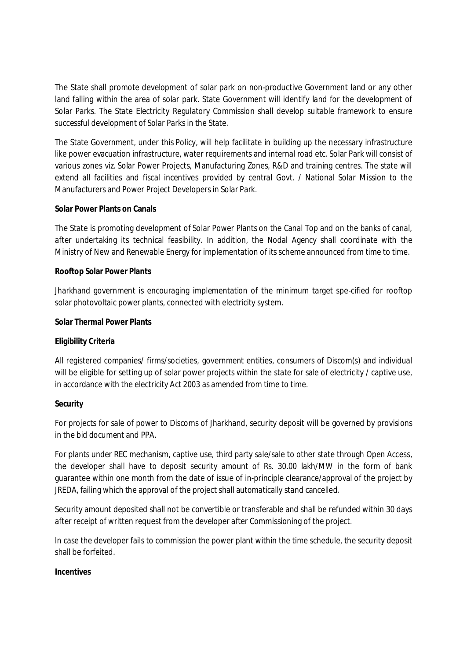The State shall promote development of solar park on non-productive Government land or any other land falling within the area of solar park. State Government will identify land for the development of Solar Parks. The State Electricity Regulatory Commission shall develop suitable framework to ensure successful development of Solar Parks in the State.

The State Government, under this Policy, will help facilitate in building up the necessary infrastructure like power evacuation infrastructure, water requirements and internal road etc. Solar Park will consist of various zones viz. Solar Power Projects, Manufacturing Zones, R&D and training centres. The state will extend all facilities and fiscal incentives provided by central Govt. / National Solar Mission to the Manufacturers and Power Project Developers in Solar Park.

#### **Solar Power Plants on Canals**

The State is promoting development of Solar Power Plants on the Canal Top and on the banks of canal, after undertaking its technical feasibility. In addition, the Nodal Agency shall coordinate with the Ministry of New and Renewable Energy for implementation of its scheme announced from time to time.

#### **Rooftop Solar Power Plants**

Jharkhand government is encouraging implementation of the minimum target spe-cified for rooftop solar photovoltaic power plants, connected with electricity system.

#### **Solar Thermal Power Plants**

#### **Eligibility Criteria**

All registered companies/ firms/societies, government entities, consumers of Discom(s) and individual will be eligible for setting up of solar power projects within the state for sale of electricity / captive use, in accordance with the electricity Act 2003 as amended from time to time.

#### **Security**

For projects for sale of power to Discoms of Jharkhand, security deposit will be governed by provisions in the bid document and PPA.

For plants under REC mechanism, captive use, third party sale/sale to other state through Open Access, the developer shall have to deposit security amount of Rs. 30.00 lakh/MW in the form of bank guarantee within one month from the date of issue of in-principle clearance/approval of the project by JREDA, failing which the approval of the project shall automatically stand cancelled.

Security amount deposited shall not be convertible or transferable and shall be refunded within 30 days after receipt of written request from the developer after Commissioning of the project.

In case the developer fails to commission the power plant within the time schedule, the security deposit shall be forfeited.

#### **Incentives**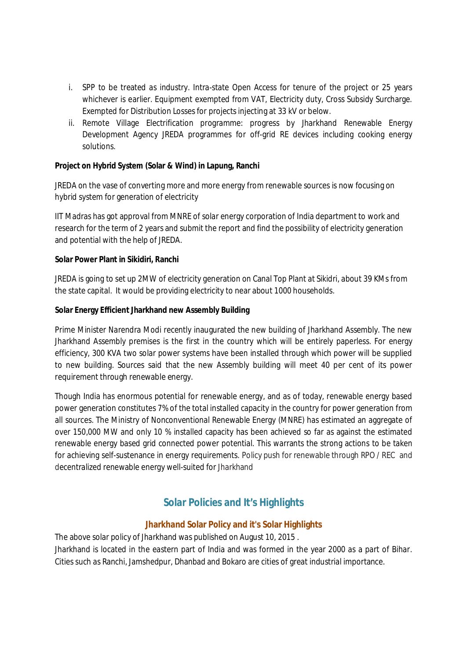- i. SPP to be treated as industry. Intra-state Open Access for tenure of the project or 25 years whichever is earlier. Equipment exempted from VAT, Electricity duty, Cross Subsidy Surcharge. Exempted for Distribution Losses for projects injecting at 33 kV or below.
- ii. Remote Village Electrification programme: progress by Jharkhand Renewable Energy Development Agency JREDA programmes for off-grid RE devices including cooking energy solutions.

#### **Project on Hybrid System (Solar & Wind) in Lapung, Ranchi**

JREDA on the vase of converting more and more energy from renewable sources is now focusing on hybrid system for generation of electricity

IIT Madras has got approval from MNRE of solar energy corporation of India department to work and research for the term of 2 years and submit the report and find the possibility of electricity generation and potential with the help of JREDA.

#### **Solar Power Plant in Sikidiri, Ranchi**

JREDA is going to set up 2MW of electricity generation on Canal Top Plant at Sikidri, about 39 KMs from the state capital. It would be providing electricity to near about 1000 households.

#### **Solar Energy Efficient Jharkhand new Assembly Building**

Prime Minister Narendra Modi recently inaugurated the new building of Jharkhand Assembly. The new Jharkhand Assembly premises is the first in the country which will be entirely paperless. For energy efficiency, 300 KVA two solar power systems have been installed through which power will be supplied to new building. Sources said that the new Assembly building will meet 40 per cent of its power requirement through renewable energy.

Though India has enormous potential for renewable energy, and as of today, renewable energy based power generation constitutes 7% of the total installed capacity in the country for power generation from all sources. The Ministry of Nonconventional Renewable Energy (MNRE) has estimated an aggregate of over 150,000 MW and only 10 % installed capacity has been achieved so far as against the estimated renewable energy based grid connected power potential. This warrants the strong actions to be taken for achieving self-sustenance in energy requirements. Policy push for renewable through RPO / REC and decentralized renewable energy well-suited for Jharkhand

# **Solar Policies and It's Highlights**

#### **Jharkhand Solar Policy and it's Solar Highlights**

The above solar policy of Jharkhand was published on August 10, 2015 . Jharkhand is located in the eastern part of India and was formed in the year 2000 as a part of Bihar. Cities such as Ranchi, Jamshedpur, Dhanbad and Bokaro are cities of great industrial importance.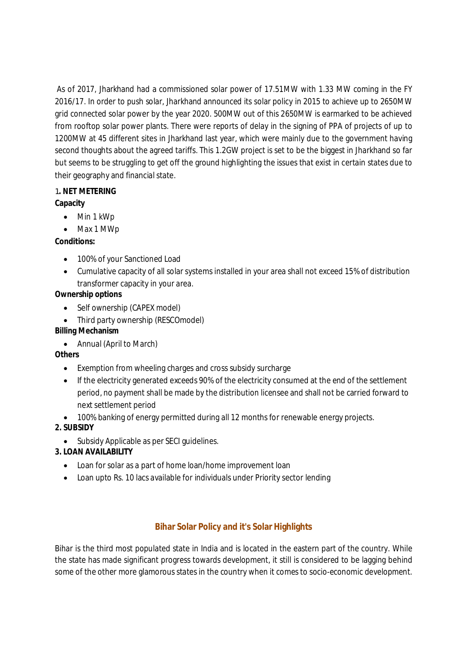As of 2017, Jharkhand had a commissioned solar power of 17.51MW with 1.33 MW coming in the FY 2016/17. In order to push solar, Jharkhand announced its solar policy in 2015 to achieve up to 2650MW grid connected solar power by the year 2020. 500MW out of this 2650MW is earmarked to be achieved from rooftop solar power plants. There were reports of delay in the signing of PPA of projects of up to 1200MW at 45 different sites in Jharkhand last year, which were mainly due to the government having second thoughts about the agreed tariffs. This 1.2GW project is set to be the biggest in Jharkhand so far but seems to be struggling to get off the ground highlighting the issues that exist in certain states due to their geography and financial state.

# 1**. NET METERING**

## **Capacity**

- Min 1 kWp
- Max 1 MWp

## **Conditions:**

- 100% of your Sanctioned Load
- Cumulative capacity of all solar systems installed in your area shall not exceed 15% of distribution transformer capacity in your area.

## **Ownership options**

- Self ownership (CAPEX model)
- Third party ownership (RESCOmodel)

### **Billing Mechanism**

Annual (April to March)

#### **Others**

- Exemption from wheeling charges and cross subsidy surcharge
- If the electricity generated exceeds 90% of the electricity consumed at the end of the settlement period, no payment shall be made by the distribution licensee and shall not be carried forward to next settlement period
- 100% banking of energy permitted during all 12 months for renewable energy projects.

## **2. SUBSIDY**

Subsidy Applicable as per SECI guidelines.

## **3. LOAN AVAILABILITY**

- Loan for solar as a part of home loan/home improvement loan
- Loan upto Rs. 10 lacs available for individuals under Priority sector lending

## **Bihar Solar Policy and it's Solar Highlights**

Bihar is the third most populated state in India and is located in the eastern part of the country. While the state has made significant progress towards development, it still is considered to be lagging behind some of the other more glamorous states in the country when it comes to socio-economic development.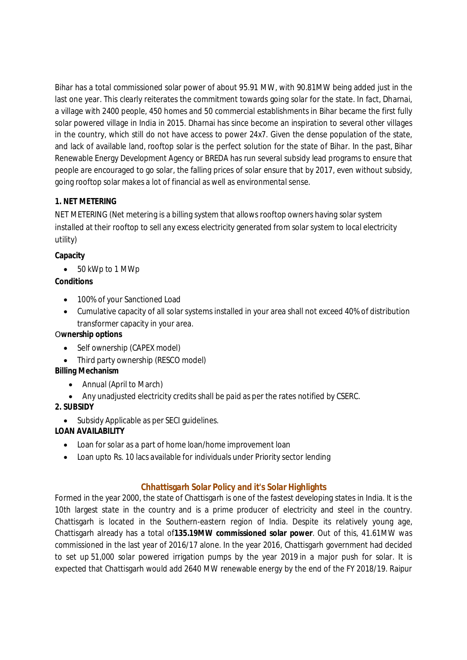Bihar has a total commissioned solar power of about 95.91 MW, with 90.81MW being added just in the last one year. This clearly reiterates the commitment towards going solar for the state. In fact, Dharnai, a village with 2400 people, 450 homes and 50 commercial establishments in Bihar became the first fully solar powered village in India in 2015. Dharnai has since become an inspiration to several other villages in the country, which still do not have access to power 24x7. Given the dense population of the state, and lack of available land, rooftop solar is the perfect solution for the state of Bihar. In the past, Bihar Renewable Energy Development Agency or BREDA has run several subsidy lead programs to ensure that people are encouraged to go solar, the falling prices of solar ensure that by 2017, even without subsidy, going rooftop solar makes a lot of financial as well as environmental sense.

## **1. NET METERING**

NET METERING (Net metering is a billing system that allows rooftop owners having solar system installed at their rooftop to sell any excess electricity generated from solar system to local electricity utility)

## **Capacity**

50 kWp to 1 MWp

# **Conditions**

- 100% of your Sanctioned Load
- Cumulative capacity of all solar systems installed in your area shall not exceed 40% of distribution transformer capacity in your area.

## O**wnership options**

- Self ownership (CAPEX model)
- Third party ownership (RESCO model)

## **Billing Mechanism**

- Annual (April to March)
- Any unadjusted electricity credits shall be paid as per the rates notified by CSERC.

# **2. SUBSIDY**

• Subsidy Applicable as per SECI quidelines.

# **LOAN AVAILABILITY**

- Loan for solar as a part of home loan/home improvement loan
- Loan upto Rs. 10 lacs available for individuals under Priority sector lending

# **Chhattisgarh Solar Policy and it's Solar Highlights**

Formed in the year 2000, the state of Chattisgarh is one of the fastest developing states in India. It is the 10th largest state in the country and is a prime producer of electricity and steel in the country. Chattisgarh is located in the Southern-eastern region of India. Despite its relatively young age, Chattisgarh already has a total of**135.19MW commissioned solar power**. Out of this, 4*1.61MW was commissioned* in the last year of 2016/17 alone. In the year 2016, Chattisgarh government had decided to set up 51,000 solar powered irrigation pumps by the year 2019 in a major push for solar. It is expected that Chattisgarh would add 2640 MW renewable energy by the end of the FY 2018/19. Raipur